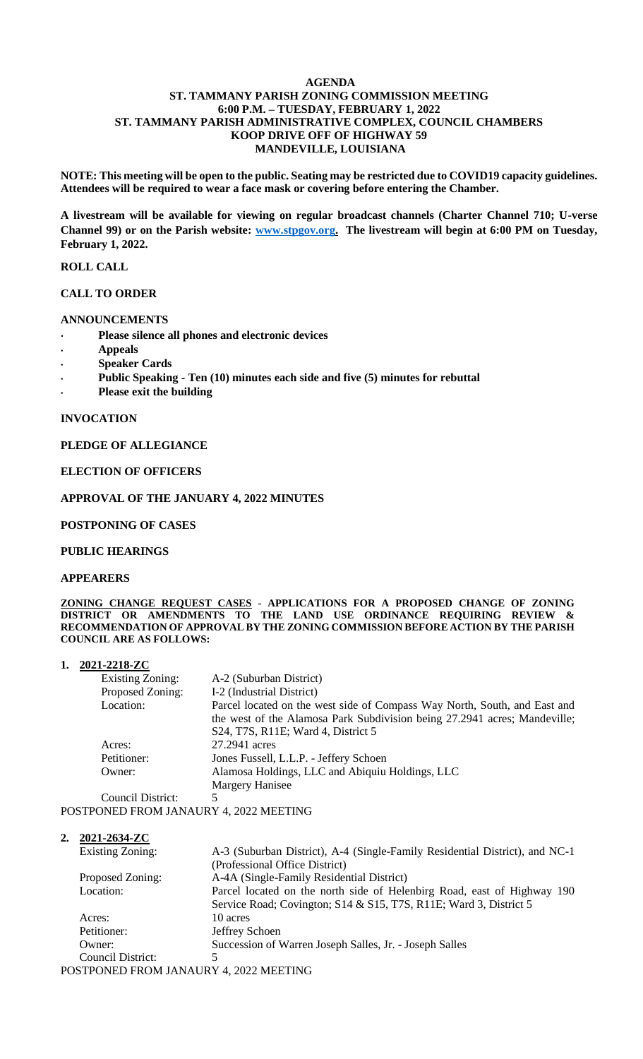## **AGENDA ST. TAMMANY PARISH ZONING COMMISSION MEETING 6:00 P.M. – TUESDAY, FEBRUARY 1, 2022 ST. TAMMANY PARISH ADMINISTRATIVE COMPLEX, COUNCIL CHAMBERS KOOP DRIVE OFF OF HIGHWAY 59 MANDEVILLE, LOUISIANA**

**NOTE: This meeting will be open to the public. Seating may be restricted due to COVID19 capacity guidelines. Attendees will be required to wear a face mask or covering before entering the Chamber.** 

**A livestream will be available for viewing on regular broadcast channels (Charter Channel 710; U-verse Channel 99) or on the Parish website: [www.stpgov.org.](http://www.stpgov.org/) The livestream will begin at 6:00 PM on Tuesday, February 1, 2022.** 

## **ROLL CALL**

## **CALL TO ORDER**

## **ANNOUNCEMENTS**

- **Please silence all phones and electronic devices**
- **Appeals**
- **Speaker Cards**
- **Public Speaking - Ten (10) minutes each side and five (5) minutes for rebuttal**
- **Please exit the building**

#### **INVOCATION**

## **PLEDGE OF ALLEGIANCE**

## **ELECTION OF OFFICERS**

## **APPROVAL OF THE JANUARY 4, 2022 MINUTES**

#### **POSTPONING OF CASES**

#### **PUBLIC HEARINGS**

#### **APPEARERS**

**ZONING CHANGE REQUEST CASES - APPLICATIONS FOR A PROPOSED CHANGE OF ZONING DISTRICT OR AMENDMENTS TO THE LAND USE ORDINANCE REQUIRING REVIEW & RECOMMENDATION OF APPROVAL BY THE ZONING COMMISSION BEFORE ACTION BY THE PARISH COUNCIL ARE AS FOLLOWS:**

## **1. 2021-2218-ZC**

| Existing Zoning: | A-2 (Suburban District)                                                   |
|------------------|---------------------------------------------------------------------------|
| Proposed Zoning: | I-2 (Industrial District)                                                 |
| Location:        | Parcel located on the west side of Compass Way North, South, and East and |
|                  | the west of the Alamosa Park Subdivision being 27.2941 acres; Mandeville; |
|                  | S24, T7S, R11E; Ward 4, District 5                                        |
| Acres:           | 27.2941 acres                                                             |
| Petitioner:      | Jones Fussell, L.L.P. - Jeffery Schoen                                    |
| Owner:           | Alamosa Holdings, LLC and Abiquiu Holdings, LLC                           |
|                  | Margery Hanisee                                                           |
| $C_{\alpha}$     |                                                                           |

Council District: POSTPONED FROM JANAURY 4, 2022 MEETING

**2. 2021-2634-ZC**

|                                        | <b>Existing Zoning:</b> | A-3 (Suburban District), A-4 (Single-Family Residential District), and NC-1 |
|----------------------------------------|-------------------------|-----------------------------------------------------------------------------|
|                                        |                         | (Professional Office District)                                              |
|                                        | Proposed Zoning:        | A-4A (Single-Family Residential District)                                   |
|                                        | Location:               | Parcel located on the north side of Helenbirg Road, east of Highway 190     |
|                                        |                         | Service Road; Covington; S14 & S15, T7S, R11E; Ward 3, District 5           |
|                                        | Acres:                  | 10 acres                                                                    |
|                                        | Petitioner:             | Jeffrey Schoen                                                              |
|                                        | Owner:                  | Succession of Warren Joseph Salles, Jr. - Joseph Salles                     |
|                                        | Council District:       |                                                                             |
| POSTPONED FROM JANAURY 4, 2022 MEETING |                         |                                                                             |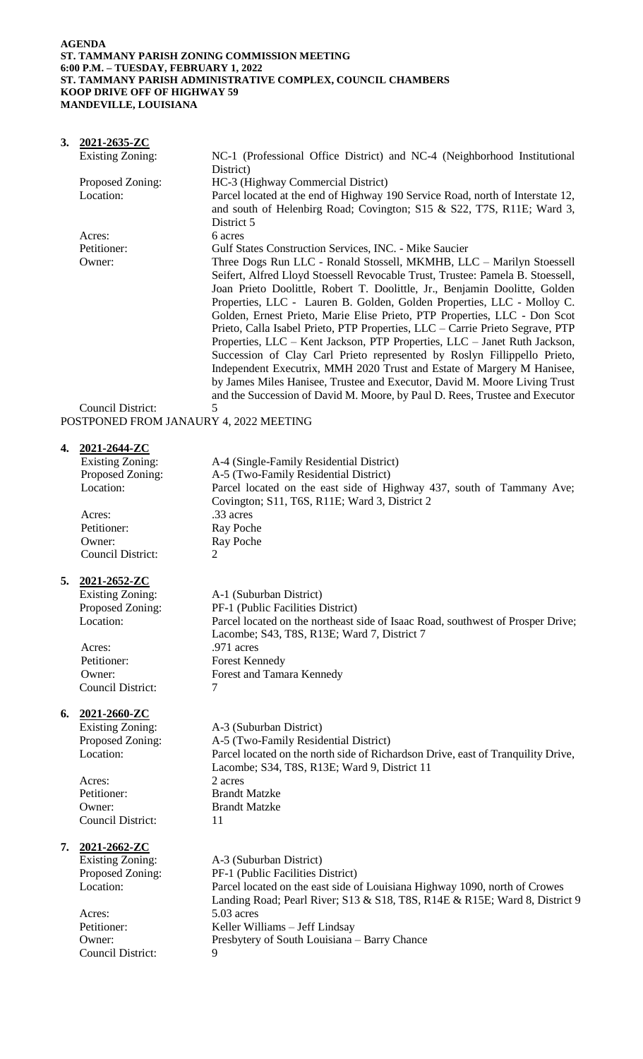## **AGENDA ST. TAMMANY PARISH ZONING COMMISSION MEETING 6:00 P.M. – TUESDAY, FEBRUARY 1, 2022 ST. TAMMANY PARISH ADMINISTRATIVE COMPLEX, COUNCIL CHAMBERS KOOP DRIVE OFF OF HIGHWAY 59 MANDEVILLE, LOUISIANA**

|  | 3. $2021 - 2635 - ZC$                                                |                                                                                |
|--|----------------------------------------------------------------------|--------------------------------------------------------------------------------|
|  | Existing Zoning:                                                     | NC-1 (Professional Office District) and NC-4 (Neighborhood Institutional       |
|  |                                                                      | District)                                                                      |
|  | Proposed Zoning:                                                     | HC-3 (Highway Commercial District)                                             |
|  | Location:                                                            | Parcel located at the end of Highway 190 Service Road, north of Interstate 12, |
|  |                                                                      | and south of Helenbirg Road; Covington; S15 & S22, T7S, R11E; Ward 3,          |
|  |                                                                      | District 5                                                                     |
|  | Acres:                                                               | 6 acres                                                                        |
|  | Petitioner:                                                          | Gulf States Construction Services, INC. - Mike Saucier                         |
|  | Owner:                                                               | Three Dogs Run LLC - Ronald Stossell, MKMHB, LLC - Marilyn Stoessell           |
|  |                                                                      | Seifert, Alfred Lloyd Stoessell Revocable Trust, Trustee: Pamela B. Stoessell, |
|  |                                                                      | Joan Prieto Doolittle, Robert T. Doolittle, Jr., Benjamin Doolitte, Golden     |
|  |                                                                      | Properties, LLC - Lauren B. Golden, Golden Properties, LLC - Molloy C.         |
|  |                                                                      | Golden, Ernest Prieto, Marie Elise Prieto, PTP Properties, LLC - Don Scot      |
|  |                                                                      | Prieto, Calla Isabel Prieto, PTP Properties, LLC – Carrie Prieto Segrave, PTP  |
|  |                                                                      | Properties, LLC – Kent Jackson, PTP Properties, LLC – Janet Ruth Jackson,      |
|  |                                                                      | Succession of Clay Carl Prieto represented by Roslyn Fillippello Prieto,       |
|  |                                                                      | Independent Executrix, MMH 2020 Trust and Estate of Margery M Hanisee,         |
|  |                                                                      | by James Miles Hanisee, Trustee and Executor, David M. Moore Living Trust      |
|  |                                                                      | and the Succession of David M. Moore, by Paul D. Rees, Trustee and Executor    |
|  | Council District:<br><b>DOCTOOLIED EDOLLI LIJLIEDVA AGOOLIEETDIG</b> | 5                                                                              |

POSTPONED FROM JANAURY 4, 2022 MEETING

# **4. 2021-2644-ZC**

| Council District:<br>2021-2652-ZC<br><b>Existing Zoning:</b><br>Proposed Zoning:<br>Location: | 2<br>A-1 (Suburban District)<br>PF-1 (Public Facilities District)<br>Parcel located on the northeast side of Isaac Road, southwest of Prosper Drive;                                          |
|-----------------------------------------------------------------------------------------------|-----------------------------------------------------------------------------------------------------------------------------------------------------------------------------------------------|
|                                                                                               |                                                                                                                                                                                               |
|                                                                                               | Lacombe; S43, T8S, R13E; Ward 7, District 7                                                                                                                                                   |
|                                                                                               | .971 acres<br><b>Forest Kennedy</b>                                                                                                                                                           |
| Owner:<br><b>Council District:</b>                                                            | Forest and Tamara Kennedy<br>7                                                                                                                                                                |
| 2021-2660-ZC                                                                                  |                                                                                                                                                                                               |
|                                                                                               | A-3 (Suburban District)                                                                                                                                                                       |
| Location:                                                                                     | A-5 (Two-Family Residential District)<br>Parcel located on the north side of Richardson Drive, east of Tranquility Drive,<br>Lacombe; S34, T8S, R13E; Ward 9, District 11                     |
| Acres:                                                                                        | 2 acres                                                                                                                                                                                       |
|                                                                                               | <b>Brandt Matzke</b>                                                                                                                                                                          |
| Council District:                                                                             | <b>Brandt Matzke</b><br>11                                                                                                                                                                    |
| 2021-2662-ZC                                                                                  |                                                                                                                                                                                               |
|                                                                                               | A-3 (Suburban District)                                                                                                                                                                       |
| Location:                                                                                     | PF-1 (Public Facilities District)<br>Parcel located on the east side of Louisiana Highway 1090, north of Crowes<br>Landing Road; Pearl River; S13 & S18, T8S, R14E & R15E; Ward 8, District 9 |
| Acres:                                                                                        | 5.03 acres                                                                                                                                                                                    |
| Petitioner:                                                                                   | Keller Williams - Jeff Lindsay                                                                                                                                                                |
|                                                                                               | Presbytery of South Louisiana - Barry Chance                                                                                                                                                  |
|                                                                                               | 9                                                                                                                                                                                             |
|                                                                                               | Acres:<br>Petitioner:<br><b>Existing Zoning:</b><br>Proposed Zoning:<br>Petitioner:<br>Owner:<br><b>Existing Zoning:</b><br>Proposed Zoning:<br>Owner:<br>Council District:                   |